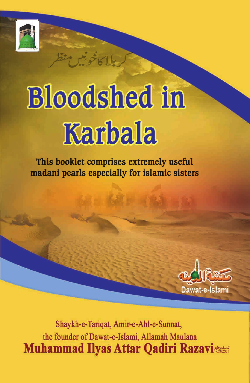

## **Bloodshed in** Karbala

This booklet comprises extremely useful madani pearls especially for islamic sisters



Shaykh-e-Tariqat, Amir-e-Ahl-e-Sunnat, the founder of Dawat-e-Islami, Allamah Maulana **Muhammad Ilyas Attar Qadiri Razavi**tes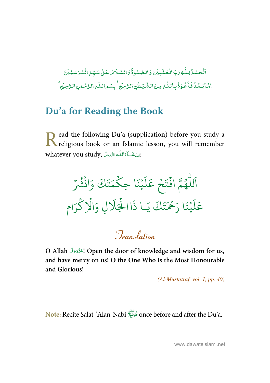-ٱلۡحَـۡـُدُۢ لِـلَّٰـٰهِ رَبِّ الۡـَٰڂلَـٰـِيۡنَ وَ الصَّـٰلُـوةُۚ وَ السَّـلَامُٰ عَـٰلِ سَيِّـِٰ الۡـُمُرُسَـٰلِـيۡنَ j ់ ٰ  $\ddot{\phantom{0}}$ ់ -ٰ l ֧֧֦֧֦֧֦֧֦֧֦֧֦֧֦֧֦֧֦֧֦֧֦֧֝֜֜*֓* ֧֘ اَشَابَعُدُّ فَأَعُوْذُبِاللّٰهِ مِنَ الشَّيْطٰنِ الزَّجِمُ ۚ بِسْمِ اللّٰهِ الزَّحْلنِ الزَّحِيُّ ۖ ٰ -֧֦֘ ۡ -֧<sup>֓</sup>֓ j ֧֘ ٰ --֧<sup>֓</sup>֓ ٰ

## **Du'a for Reading the Book**

ead the following Du'a (supplication) before you study a Read the following Du'a (supplication) before you study a religious book or an Islamic lesson, you will remember whatever you study, أَيَّ عَائِلُهُ عَذَّدَجَلَ $\colon$ -Í --

ۡ و<br>په د تَكَ وَانْشُرْ  $\ddot{\cdot}$ ت ر<br>ھ م ِ ا حك  $\frac{1}{2}$  $\ddot{\cdot}$ م<br>بينه  $\frac{1}{2}$ ر<br>آ ل  $\tilde{\epsilon}$ جُ عَ ֧<sup>֝</sup>  $\frac{1}{2}$ وءَ افْتَ  $\ddot{\cdot}$ و<br>ھ ر<br>ا لل ر<br>آ ا ا .<br>تَكَ يَـا ذَ ت ِ<br>حُمَّ ح يْنَا <sub>ز</sub>َ  $\frac{1}{2}$ ر<br>آ ل  $\frac{1}{2}$ عَلَيْنَا رَحْمَتَكَ يَـا ذَاالْجَلَالِ وَالْإِكْرَام ہ<br>ح ہ<br>1  $\frac{1}{\epsilon}$ ِل و َ %َ ال ہ<br>1.

**Translation**

**O Allah** - - - **! Open the door of knowledge and wisdom for us,**  -**and have mercy on us! O the One Who is the Most Honourable and Glorious!** 

(Al-Mustatraf, vol. 1, pp. 40)

orce: Recite Salat-'Alan-Nabi **Shake Salat-'Alan-Nabi** *Salat* once before and after the Du'a.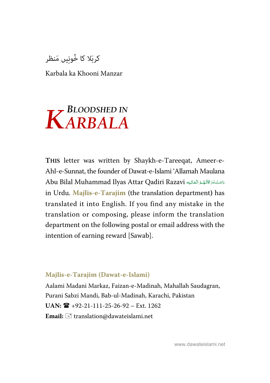کربَلا کا خُونِیں مَنظر

Karbala ka Khooni Manzar

# $K$ <sup>BLOODSHED IN</sup>

**THIS** letter was written by Shaykh-e-Tareeqat, Ameer-e-Ahl-e-Sunnat, the founder of Dawat-e-Islami 'Allamah Maulana Abu Bilal Muhammad Ilyas Attar Qadiri Razavi دَامَتْ بَرَكَاتُهُمُ الْعَالِيَه j í í í --in Urdu. **Majlis-e-Tarajim** (the translation department**)** has translated it into English. If you find any mistake in the translation or composing, please inform the translation department on the following postal or email address with the intention of earning reward [Sawab].

#### **Majlis-e-Tarajim (Dawat-e-Islami)**

Aalami Madani Markaz, Faizan-e-Madinah, Mahallah Saudagran, Purani Sabzi Mandi, Bab-ul-Madinah, Karachi, Pakistan **UAN:** +92-21-111-25-26-92 – Ext. 1262 Email:  $\equiv$  translation@dawateislami.net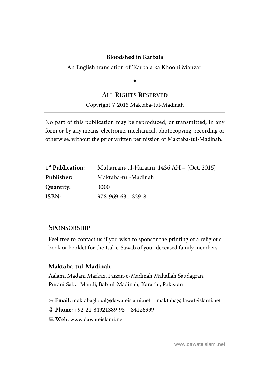#### **Bloodshed in Karbala**

An English translation of 'Karbala ka Khooni Manzar'

## $\ddot{\phantom{0}}$

#### **ALL RIGHTS RESERVED**

#### Copyright © 2015 Maktaba-tul-Madinah

No part of this publication may be reproduced, or transmitted, in any form or by any means, electronic, mechanical, photocopying, recording or otherwise, without the prior written permission of Maktaba-tul-Madinah.

| 1 <sup>st</sup> Publication: | Muharram-ul-Haraam, $1436$ AH $-$ (Oct, 2015) |
|------------------------------|-----------------------------------------------|
| Publisher:                   | Maktaba-tul-Madinah                           |
| Quantity:                    | 3000                                          |
| ISBN:                        | 978-969-631-329-8                             |

#### **SPONSORSHIP**

Feel free to contact us if you wish to sponsor the printing of a religious book or booklet for the Isal-e-Sawab of your deceased family members.

#### **Maktaba-tul-Madinah**

Aalami Madani Markaz, Faizan-e-Madinah Mahallah Saudagran, Purani Sabzi Mandi, Bab-ul-Madinah, Karachi, Pakistan

 **Email:** maktabaglobal@dawateislami.net – maktaba@dawateislami.net

 **Phone: +**92-21-34921389-93 – 34126999

 **Web:** www.dawateislami.net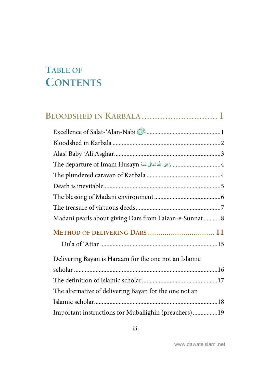## <span id="page-4-0"></span>**TABLE OF CONTENTS**

| Excellence of Salat-'Alan-Nabi                         |
|--------------------------------------------------------|
|                                                        |
|                                                        |
|                                                        |
|                                                        |
|                                                        |
|                                                        |
|                                                        |
| Madani pearls about giving Dars from Faizan-e-Sunnat 8 |
| METHOD OF DELIVERING DARS  11                          |
|                                                        |
| Delivering Bayan is Haraam for the one not an Islamic  |
|                                                        |
|                                                        |
| The alternative of delivering Bayan for the one not an |
|                                                        |
| Important instructions for Muballighin (preachers)19   |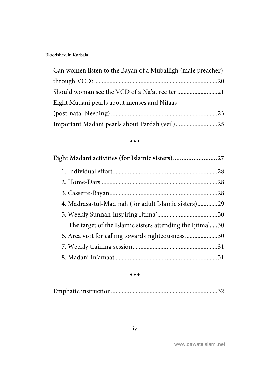| Can women listen to the Bayan of a Muballigh (male preacher) |  |
|--------------------------------------------------------------|--|
|                                                              |  |
| Should woman see the VCD of a Na'at reciter 21               |  |
| Eight Madani pearls about menses and Nifaas                  |  |
|                                                              |  |
| Important Madani pearls about Pardah (veil)25                |  |

#### $\bullet\bullet\bullet$

| Eight Madani activities (for Islamic sisters)27           |  |
|-----------------------------------------------------------|--|
|                                                           |  |
|                                                           |  |
|                                                           |  |
| 4. Madrasa-tul-Madinah (for adult Islamic sisters)29      |  |
|                                                           |  |
| The target of the Islamic sisters attending the Ijtima'30 |  |
| 6. Area visit for calling towards righteousness30         |  |
|                                                           |  |
|                                                           |  |

 $\bullet\bullet\bullet$ 

|--|--|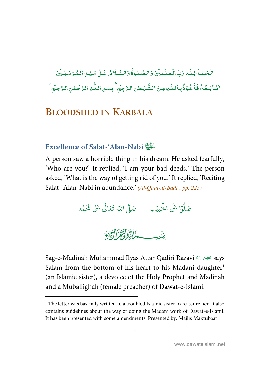<span id="page-6-0"></span>ِ<br>اَلۡحَمۡمُدُۢ لِـلَّـٰ وَتِّٖ الۡعۡلَـٰدِيۡنَ وَالصَّبْلُوةُۚ وَالسَّـلَامُ عَـٰىٰ سَيِّـٰ ِالۡمُّـُرۡ سَـٰلِيۡنَ ֦֘֝  $\overline{a}$ ֘ -ٰ ؚ<br>: ֘ -ٰ ؚ<br>; ļ ់ ֧֘ ـ<br>يُـطْنِ الـزَّجِيُمِ ۚ بِسْـهِ الـلّٰـٰهِ الـرَّحۡـ ٰ -- $^{\bullet}$ ٰ ِ<br>خُوۡهُ بِاللّٰهِ مِنَ الشَّ ٰ -֦֧֦  $\ddot{\cdot}$ اَشَا بَعُدُ فَأَعُوْذُ بِاللَّهِ مِنَ الشَّيْطٰنِ الرَّجِيْمِ ۚ بِسُوِ اللّٰهِ الرَّحْسِٰ الرَّحِيْمِ ۚ ֦ -֧<sup>֓</sup>֓

## **BLOODSHED IN KARBALA**

## **Excellence of Salat-'Alan-Nabi**

 $\overline{a}$ 

A person saw a horrible thing in his dream. He asked fearfully, 'Who are you?' It replied, 'I am your bad deeds.' The person asked, 'What is the way of getting rid of you.' It replied, 'Reciting Salat-'Alan-Nabi in abundance.' (Al-Qaul-ul-Badi', pp. 225)

.<br>وْا عَلَى الْحَيِيْب ֘ ہ<br>ا و<br>ا ل َ ص د م َُ م َ 2 َا\* ع َ ا- ُ ت ل ص% َ ٰ

Sag-e-Madinah Muhammad Ilyas Attar Qadiri Razavi &   ' ( says <u>ٔ</u> -ć Salam from the bottom of his heart to his Madani daughter<sup>1</sup> (an Islamic sister), a devotee of the Holy Prophet and Madinah and a Muballighah (female preacher) of Dawat-e-Islami.

<sup>&</sup>lt;sup>1</sup> The letter was basically written to a troubled Islamic sister to reassure her. It also contains guidelines about the way of doing the Madani work of Dawat-e-Islami. It has been presented with some amendments. Presented by: Majlis Maktubaat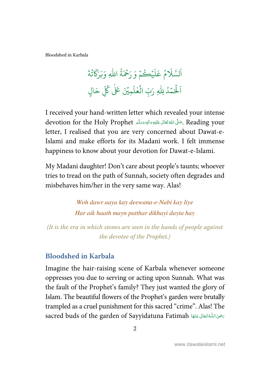<span id="page-7-0"></span>[Bloodshed in Karbala](#page-4-0) 

يُڪُمۡ وَ ۡ .<br>آ ل َ ع م و َ % لس َ ا و<br>ڊ ت ٍ<br>ح رَحْمَةُ اللّٰهِ وَبَرَكَاتُهُ ا َلْحَمْدُ ؚ<br>؞ .<br>أ ر<br>آ الْحَمْدُ لِلَّهِ رَبِّ الْعُلْمِيِّنَ عَلَى كُلِّ حَالٍ َ ح ب<br>أ لَمِيْنَ عَلٰ<mark>ى</mark> كُلِّ ر لِلَّهِ رَبِّ ا<mark>لْغ</mark>لَ ٰ .<br>أ

I received your hand-written letter which revealed your intense devotion for the Holy Prophet حَلَّى اللَّهُ تَعَالَى عَلَيْهِ وَالِهِ وَسَلَّم  $\,$  Reading your -ĺ --ć letter, I realised that you are very concerned about Dawat-e-Islami and make efforts for its Madani work. I felt immense happiness to know about your devotion for Dawat-e-Islami.

My Madani daughter! Don't care about people's taunts; whoever tries to tread on the path of Sunnah, society often degrades and misbehaves him/her in the very same way. Alas!

> Woh dawr aaya kay deewana-e-Nabi kay liye Har aik haath mayn patthar dikhayi dayta hay

(It is the era in which stones are seen in the hands of people against the devotee of the Prophet.)

## **Bloodshed in Karbala**

Imagine the hair-raising scene of Karbala whenever someone oppresses you due to serving or acting upon Sunnah. What was the fault of the Prophet's family? They just wanted the glory of Islam. The beautiful flowers of the Prophet's garden were brutally trampled as a cruel punishment for this sacred "crime". Alas! The sacred buds of the garden of Sayyidatuna Fatimah تحيىاللَّهُ تَعَالى عَنْهَا j --í --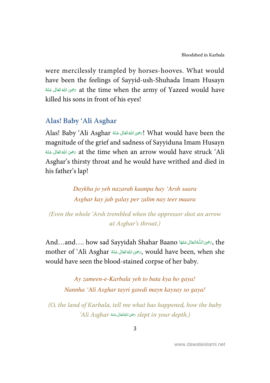<span id="page-8-0"></span>were mercilessly trampled by horses-hooves. What would have been the feelings of Sayyid-ush-Shuhada Imam Husayn í at the time when the army of Yazeed would have تخوى اللهُ تَعَالَى عَنْهُ -ć -killed his sons in front of his eyes!

## **Alas! Baby 'Ali Asghar**

Alas! Baby 'Ali Asghar أيهجو الله تَعَالى عَنْهُ Alas! Baby 'Ali Asghar! -ć -magnitude of the grief and sadness of Sayyiduna Imam Husayn ć شِيَ اللَّهُ تَعَالَى عَنْهُ  $\alpha$  at the time when an arrow would have struck 'Ali -ź --Asghar's thirsty throat and he would have writhed and died in his father's lap!

> Daykha jo yeh nazarah kaanpa hay 'Arsh saara Asghar kay jab galay per zalim nay teer maara

(Even the whole 'Arsh trembled when the oppressor shot an arrow at Asghar's throat.)

And…and…. how sad Sayyidah Shahar Baano أَجْرَى اللَّهَ تَعَالى عَنْهَا And…and…. how sad Sayyidah Shahar Baano ĺ --ŕ -mother of 'Ali Asghar سَرْحَى اللهُ تَعَالى عَنْهُ mother of 'Ali Asghar, -ć -would have seen the blood-stained corpse of her baby.

> Ay zameen-e-Karbala yeh to bata kya ho gaya! Nannha 'Ali Asghar tayri gawdi mayn kaysay so gaya!

(O, the land of Karbala, tell me what has happened, how the baby 'Ali Asghar رَضِى اللهُ قَعَالَى عَنْهُ Asghar (Ali Asghar 3) -ć --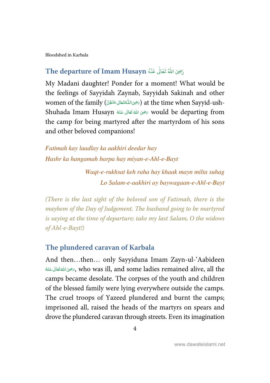<span id="page-9-0"></span>[Bloodshed in Karbala](#page-4-0) 

#### رَضِىَ اللّٰهُ تَعَالَٰ عَنْهُ The departure of Imam Husayn ٰ و<br>م  $\ddot{\cdot}$

My Madani daughter! Ponder for a moment! What would be the feelings of Sayyidah Zaynab, Sayyidah Sakinah and other women of the family (جین اللّٰه تَعَالى عَنْهُنَّ) at the time when Sayyid-ushj --ŕ --Shuhada Imam Husayn سَحْقَ اللهُ تَعَانَى عَنْهُ Shuhada Imam Husayn أَصْوَى اللهُ قَتَانَ -ź -the camp for being martyred after the martyrdom of his sons and other beloved companions!

Fatimah kay laadlay ka aakhiri deedar hay Hashr ka hangamah barpa hay miyan-e-Ahl-e-Bayt

> Waqt-e-rukhsat keh raha hay khaak mayn milta suhag Lo Salam-e-aakhiri ay baywagaan-e-Ahl-e-Bayt

(There is the last sight of the beloved son of Fatimah, there is the mayhem of the Day of Judgement. The husband going to be martyred is saying at the time of departure; take my last Salam, O the widows of Ahl-e-Bayt!)

#### **The plundered caravan of Karbala**

And then…then… only Sayyiduna Imam Zayn-ul-'Aabideen -خَّىَ اللَّهُ تَعَالَى عَنْهُ $\gamma$ , who was ill, and some ladies remained alive, all the í -ć camps became desolate. The corpses of the youth and children of the blessed family were lying everywhere outside the camps. The cruel troops of Yazeed plundered and burnt the camps; imprisoned all, raised the heads of the martyrs on spears and drove the plundered caravan through streets. Even its imagination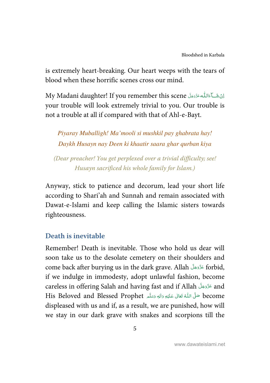<span id="page-10-0"></span>is extremely heart-breaking. Our heart weeps with the tears of blood when these horrific scenes cross our mind.

اِنْ شَــَآ مَاللّٰه عَزَّدَجَلَّ My Madani daughter! If you remember this scene --Í -your trouble will look extremely trivial to you. Our trouble is not a trouble at all if compared with that of Ahl-e-Bayt.

Piyaray Muballigh! Ma'mooli si mushkil pay ghabrata hay! Daykh Husayn nay Deen ki khaatir saara ghar qurban kiya

(Dear preacher! You get perplexed over a trivial difficulty; see! Husayn sacrificed his whole family for Islam.)

Anyway, stick to patience and decorum, lead your short life according to Shari'ah and Sunnah and remain associated with Dawat-e-Islami and keep calling the Islamic sisters towards righteousness.

## **Death is inevitable**

Remember! Death is inevitable. Those who hold us dear will soon take us to the desolate cemetery on their shoulders and come back after burying us in the dark grave. Allah عَذَّدَجَلَّ forbid, -if we indulge in immodesty, adopt unlawful fashion, become careless in offering Salah and having fast and if Allah عَزَّدَجَلَّ and --His Beloved and Blessed Prophet حَلَّى اللَّهُ تَعَالَى عَلَيْهِ وَالِهٖ وَسَلَّم His Beloved and Blessed Prophet ŕ --j -displeased with us and if, as a result, we are punished, how will we stay in our dark grave with snakes and scorpions till the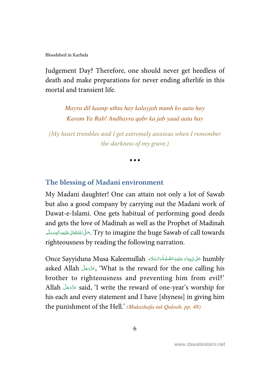<span id="page-11-0"></span>Judgement Day? Therefore, one should never get heedless of death and make preparations for never ending afterlife in this mortal and transient life.

> Mayra dil kaanp uthta hay kalayjah munh ko aata hay Karam Ya Rab! Andhayra qabr ka jab yaad aata hay

(My heart trembles and I get extremely anxious when I remember the darkness of my grave.)

 $\bullet$   $\bullet$   $\bullet$ 

## **The blessing of Madani environment**

My Madani daughter! One can attain not only a lot of Sawab but also a good company by carrying out the Madani work of Dawat-e-Islami. One gets habitual of performing good deeds and gets the love of Madinah as well as the Prophet of Madinah جَسَّىٰ اللَّهَ تَعَالى عَلَيْهِ وَالْهِ وَسَلَّم ---Í --ć righteousness by reading the following narration.

Once Sayyiduna Musa Kaleemullah عَلْى نَبِيِّنَا دَعَلَيْهِ الصَّلْوَةُ دَالسَّلَام » Once Sayyiduna Musa Kaleemullah É -J Í Í ---i -֘֒ asked Allah حَزَّدَجَلَّ (What is the reward for the one calling his -brother to righteousness and preventing him from evil?' Allah - - - said, 'I write the reward of one-year's worship for -his each and every statement and I have [shyness] in giving him the punishment of the Hell.' (Mukashafa-tul-Quloob, pp. 48)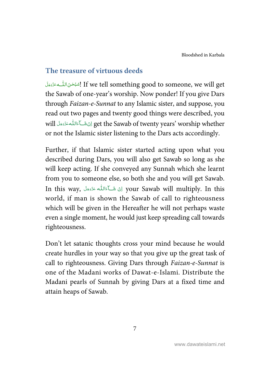## <span id="page-12-0"></span>**The treasure of virtuous deeds**

لِسُبُحْنَ اللّٰـــه عَزَّدَمَلَ If we tell something good to someone, we will get -+ ĺ ć -the Sawab of one-year's worship. Now ponder! If you give Dars through Faizan-e-Sunnat to any Islamic sister, and suppose, you read out two pages and twenty good things were described, you will رايَّ مَعَالِمُكُم الله عَدَّدَجَلَ للنَّاسَلِمَدَّوْمِ النَّاسَلُمْ عَنَادَ النَّاسَلُمْ عَنَّاسَلُمْ عَ -ĺ -or not the Islamic sister listening to the Dars acts accordingly.

Further, if that Islamic sister started acting upon what you described during Dars, you will also get Sawab so long as she will keep acting. If she conveyed any Sunnah which she learnt from you to someone else, so both she and you will get Sawab. In this way, لَكَ هَاللَّه عَزَّدَجَلٌ your Sawab will multiply. In this -ĺ -world, if man is shown the Sawab of call to righteousness which will be given in the Hereafter he will not perhaps waste even a single moment, he would just keep spreading call towards righteousness.

Don't let satanic thoughts cross your mind because he would create hurdles in your way so that you give up the great task of call to righteousness. Giving Dars through Faizan-e-Sunnat is one of the Madani works of Dawat-e-Islami. Distribute the Madani pearls of Sunnah by giving Dars at a fixed time and attain heaps of Sawab.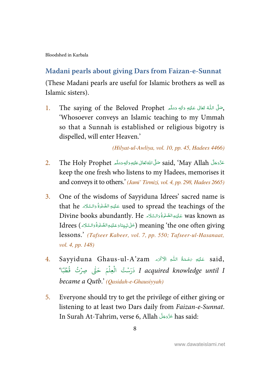## <span id="page-13-0"></span>**Madani pearls about giving Dars from Faizan-e-Sunnat**

(These Madani pearls are useful for Islamic brothers as well as Islamic sisters).

1. The saying of the Beloved Prophet حَتَلَى اللّهُ تَعَانَى عَلَيْهِ وَاللّهِ وَسَلَّم í ----Í -'Whosoever conveys an Islamic teaching to my Ummah so that a Sunnah is established or religious bigotry is dispelled, will enter Heaven.'

(Hilyat-ul-Awliya, vol. 10, pp. 45, Hadees 4466)

- عَزَّدَجَلَّ said, 'May Allah صَلَّىَ اللَّهَ تَعَالَى عَلَيْهِ وَاللهِ وَسَلَّم 2. The Holy Prophet مَقَ --ĺ --ć -keep the one fresh who listens to my Hadees, memorises it and conveys it to others.' (Jami' Tirmizi, vol. 4, pp. 298, Hadees 2665)
- 3. One of the wisdoms of Sayyiduna Idrees' sacred name is that he عَلَيْهِ الصَّلْوَةُ وَالسَّلَاءِ that he عَلَيْهِ الصَّلْوَةُ وَالسَّلَاءِ that he Ĵ -J Í ĺ --Divine books abundantly. He عَلَيْهِالصَّلُوَّةُ وَالسَّلَامِ Divine books abundantly. He Ĵ -J í Í --Idrees (حَلْ نَبِيِّنَادَعَلَيْهِالضَّلْوَةُ دَالسَّلَام ) Idrees (حَلْيَ بِيَّنَادَعَلِيْهِ الصَّلْوَةُ وَالسَّلَام --š -֘֒ í -J í ĺ lessons.' (Tafseer Kabeer, vol. 7, pp. 550; Tafseer-ul-Hasanaat, vol. 4, pp. 148)
- 4. Sayyiduna Ghaus-ul-A'zam عَلَيْهِ ءَحْمَةُ اللّٰهِ الْآكُرَمُ . ś ĺ --I acquired knowledge until I دَرَسْتُ الْعِلْمَ حَتَّى صِرْتُ قُطْبًا' ہ<br>آ ֧֧֧֧֝֝ ֧֘ ؚ<br>؞ و<br>د became a Qutb.' (Qasidah-e-Ghausiyyah)
- 5. Everyone should try to get the privilege of either giving or listening to at least two Dars daily from Faizan-e-Sunnat. In Surah At-Tahrim, verse 6, Allah عَزَّدَ  $\lambda$ las said: --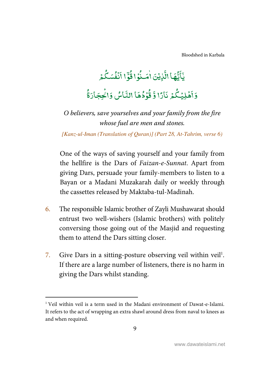[Bloodshed in Karbala](#page-4-0)

#### ؙ<br>ڶٳ**ؽ**ؘؽ <u>ہ</u> ب<br>نقا اڏ <u>و،</u><br>1  $\tilde{\cdot}$ يَآَيُّهَا الَّذِيۡنَ اٰمَـٰذُوۡ ֧֦֘ ؋ أَمَنُوۡا قُوۡٓ ٰ ۔<br>آ  $\frac{1}{2}$ ڋ و ةُوَّا أَنْفُسَكُمْ .<br>نَفُسَکُ ់  $\mathbf{r}$ أَنْفُسَكْمُر .<br>وَأَهۡلِيۡكُمۡ ٞۿؘڸؽؙۣػ  $\overline{\phantom{a}}$ ؚ<br>ۣ  $\overline{\cdot}$ أَهۡلِيۡكُمۡ نَارًا ءَ ڏُرُمُ ֧֘ و قُوۡدُهَا النَّاسُ و وَالۡحِجَارَةُ ؚ<br>ۣ

O believers, save yourselves and your family from the fire whose fuel are men and stones.

[Kanz-ul-Iman (Translation of Quran)] (Part 28, At-Tahrim, verse 6)

One of the ways of saving yourself and your family from the hellfire is the Dars of Faizan-e-Sunnat. Apart from giving Dars, persuade your family-members to listen to a Bayan or a Madani Muzakarah daily or weekly through the cassettes released by Maktaba-tul-Madinah.

- 6. The responsible Islamic brother of Zayli Mushawarat should entrust two well-wishers (Islamic brothers) with politely conversing those going out of the Masjid and requesting them to attend the Dars sitting closer.
- 7. Give Dars in a sitting-posture observing veil within veil<sup>1</sup>. If there are a large number of listeners, there is no harm in giving the Dars whilst standing.

l

<sup>&</sup>lt;sup>1</sup> Veil within veil is a term used in the Madani environment of Dawat-e-Islami. It refers to the act of wrapping an extra shawl around dress from naval to knees as and when required.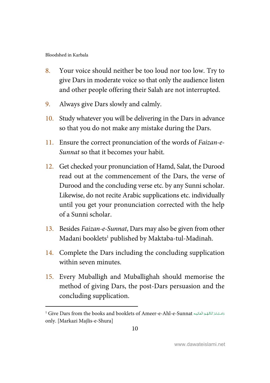$\overline{a}$ 

- 8. Your voice should neither be too loud nor too low. Try to give Dars in moderate voice so that only the audience listen and other people offering their Salah are not interrupted.
- 9. Always give Dars slowly and calmly.
- 10. Study whatever you will be delivering in the Dars in advance so that you do not make any mistake during the Dars.
- 11. Ensure the correct pronunciation of the words of Faizan-e-Sunnat so that it becomes your habit.
- 12. Get checked your pronunciation of Hamd, Salat, the Durood read out at the commencement of the Dars, the verse of Durood and the concluding verse etc. by any Sunni scholar. Likewise, do not recite Arabic supplications etc. individually until you get your pronunciation corrected with the help of a Sunni scholar.
- 13. Besides Faizan-e-Sunnat, Dars may also be given from other Madani booklets<sup>1</sup> published by Maktaba-tul-Madinah.
- 14. Complete the Dars including the concluding supplication within seven minutes.
- 15. Every Muballigh and Muballighah should memorise the method of giving Dars, the post-Dars persuasion and the concluding supplication.

 $^1$  Give Dars from the books and booklets of Ameer-e-Ahl-e-Sunnat المقالية العَالية  $\pm$  6. į ĺ i í í í í S -J j į only. [Markazi Majlis-e-Shura]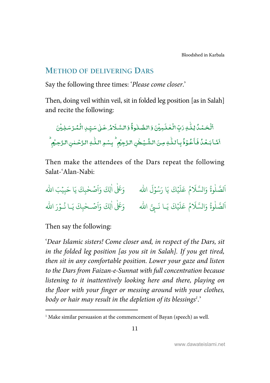## <span id="page-16-0"></span>**METHOD OF DELIVERING DARS**

Say the following three times: 'Please come closer.'

Then, doing veil within veil, sit in folded leg position [as in Salah] and recite the following:

ِ<br>اَلۡحَمۡمُّدُ لِـلَّٰٓ لِوَتِّٖ الۡعَٰلَـهِيۡنَ وَالصَّّلُوةُۚ وَالسَّـلَامُ عَـٰىٰ سَيِّـٰ ِالۡمُّـرۡ سَـٰلِيۡنَ ֧֘ ֘ -ٰ  $\overline{a}$ ֘ -ٰ ֧֘ ĺ ់ ֘ \_<br>يُـطْنِ الزَّجِيُمِ ۚ بِسُـمِ الـلِّـٰ ِ الزَّحۡـ ٰ --, ٰ .<br>عُوۡذُبِاۡللّٰهِ مِنَ الشَّ ٰ -֦֧֦  $\ddot{\cdot}$ اَشَابَعُدُ فَأَعُوْذُ بِاللَّٰهِ مِنَ الشَّيُطٰنِ الرَّجِيُمِ ۚ بِسُوِ اللّٰهِ الرَّحْسِٰ الرَّحِيُمِ ۚ ; -֧<sup>֓</sup>

Then make the attendees of the Dars repeat the following Salat-'Alan-Nabi:

لَ الله ۖ وَعَلٰى اٰلِكَ وَاَصۡحٰبِكَ يَا حَبِيۡبَ الله  $\overline{\phantom{a}}$ ا ٰ .<br>يَكَ يَا رَسُوْلَ ֘ ر<br>م ֘ .<br>آ ء<br>م عَلَ ُ ً<br>آ اَلصَّلٰوةُ وَالسَّلَا و<br>آ الصَّلُّوةَ وَالسَّلَّامُ عَلَيْكَ يَا رَسُوۡلَ اللَّه وَعَلٰى اٰلِكَ وَاَصْـحٰبِكَ يَـا نُـوۡرَ اللّٰه ٰ ؚ<br>ؙ ُ ا ي<sup>ْكَ</sup> يَـا نَـبِيَّ الله ֘ .<br>آ ل َ ع م ُ ً<br>آ اَلصَّلٰوةُ وَالسَّلَا ور<br>م ا

Then say the following:

l

'Dear Islamic sisters! Come closer and, in respect of the Dars, sit in the folded leg position [as you sit in Salah]. If you get tired, then sit in any comfortable position. Lower your gaze and listen to the Dars from Faizan-e-Sunnat with full concentration because listening to it inattentively looking here and there, playing on the floor with your finger or messing around with your clothes, body or hair may result in the depletion of its blessings $\cdot$  '

<sup>&</sup>lt;sup>1</sup> Make similar persuasion at the commencement of Bayan (speech) as well.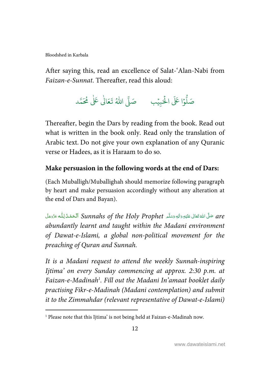l

After saying this, read an excellence of Salat-'Alan-Nabi from Faizan-e-Sunnat. Thereafter, read this aloud:

> .<br>وا عَلَى الْح ہ<br>آ و<br>ا صَلُّوْا عَلَى الْحَبِيْبِ ۚ صَلَّى اللَّهُ تَعَالَىٰ عَلَىٰ مُحَمَّد ֧֬<sup>֓</sup> ٰ

Thereafter, begin the Dars by reading from the book. Read out what is written in the book only. Read only the translation of Arabic text. Do not give your own explanation of any Quranic verse or Hadees, as it is Haraam to do so.

## **Make persuasion in the following words at the end of Dars:**

(Each Muballigh/Muballighah should memorize following paragraph by heart and make persuasion accordingly without any alteration at the end of Dars and Bayan).

are صَلَّى اللهُ تَعَالى عَلَيْهِ وَاللهِ وَسَلَّم Sunnahs of the Holy Prophet اَلْحَمْدُ لِلْٰهِ عَزَّدَجَلَ j ֘֒ Į í j -----ĺ --ź abundantly learnt and taught within the Madani environment of Dawat-e-Islami, a global non-political movement for the preaching of Quran and Sunnah.

It is a Madani request to attend the weekly Sunnah-inspiring Ijtima' on every Sunday commencing at approx. 2:30 p.m. at Faizan-e-Madinah<sup>1</sup>. Fill out the Madani In'amaat booklet daily practising Fikr-e-Madinah (Madani contemplation) and submit it to the Zimmahdar (relevant representative of Dawat-e-Islami)

<sup>&</sup>lt;sup>1</sup> Please note that this Ijtima' is not being held at Faizan-e-Madinah now.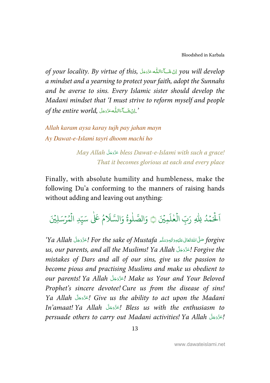of your locality. By virtue of this, الله عَذَدَجَلَ  $\mu$  will develop -ĺ -a mindset and a yearning to protect your faith, adopt the Sunnahs and be averse to sins. Every Islamic sister should develop the Madani mindset that 'I must strive to reform myself and people of the entire world, أَيْنَ شَيَاءَاللَّهُ عَزَّدَجَلًا $\cdot$ ĺ --

Allah karam aysa karay tujh pay jahan mayn Ay Dawat-e-Islami tayri dhoom machi ho

> May Allah عَذَّدَجَلَّ bless Dawat-e-Islami with such a grace! --That it becomes glorious at each and every place

Finally, with absolute humility and humbleness, make the following Du'a conforming to the manners of raising hands without adding and leaving out anything:

لَمِيۡنَ َكْمَدُ لِلّٰهِ رَبِّ الْعٰلَ ٰ .<br>أ ؚ<br>؞ .<br>أ َ اَلْحَمْدُ لِلّهِ رَبِّ الْعٰلَمِيْنَ ١ وَالصَّلٰوةُ وَالسَّلَامُ عَلٰى سَيِّدِ الْمُرْسَلِيْنَ ֧<sup>֓</sup>֓ و<br>م ہ<br>آ ر<br>آ وَالصَّلٰوةُ وَالسَّلَامُ عَلٰى سَيِّدِ الْمُرْسَلِيْنَ و<br>د ډ

'Ya Allah أَعَزَّدَ جَلَّ For the sake of Mustafa أَعْزَدَجَلَّ Ya Allah أَعْزَدَ بِلَيَّةِ وَالبَّدَيَّةِ بِلَ ----Í --ć us, our parents, and all the Muslims! Ya Allah اِعَدَّدَجَلَّ Forgive the -mistakes of Dars and all of our sins, give us the passion to become pious and practising Muslims and make us obedient to our parents! Ya Allah جَدَّدَجَلَ Make us Your and Your Beloved --Prophet's sincere devotee! Cure us from the disease of sins! Ya Allah الحَذَّدَجَلَّ Give us the ability to act upon the Madani --In'amaat! Ya Allah - - -! Bless us with the enthusiasm to -persuade others to carry out Madani activities! Ya Allah اِعَدَّدَجَلَ ا --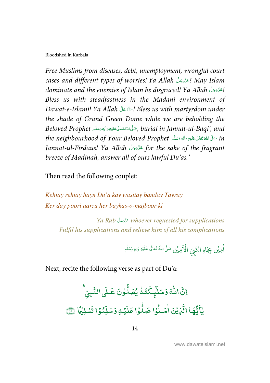Free Muslims from diseases, debt, unemployment, wrongful court cases and different types of worries! Ya Allah اعَزَّدَجَلَّ May Islam -dominate and the enemies of Islam be disgraced! Ya Allah اعَذَّدَجَلَّ allah --Bless us with steadfastness in the Madani environment of Dawat-e-Islami! Ya Allah اِعَدَّدَجَلَـ Bless us with martyrdom under -the shade of Grand Green Dome while we are beholding the Beloved Prophet كَرَاللَّهَ عَلَيْهِ وَاللهِ وَسَلَّدِ, burial in Jannat-ul-Baqi', and ć ---Í -the neighbourhood of Your Beloved Prophet حَلَّى اللَّهَ تَعَالى عَلَيْهِ وَاللهِ وَسَلَّم عَلَيْهِ وَاللهَ وَ --ĺ --ć Jannat-ul-Firdaus! Ya Allah عَدَّدَجَلَ  $f$ or the sake of the fragrant -breeze of Madinah, answer all of ours lawful Du'as.'

Then read the following couplet:

Kehtay rehtay hayn Du'a kay wasitay banday Tayray Ker day poori aarzu her baykas-o-majboor ki

Ya Rab عَذَّوَجَلَّ whoever requested for supplications --Fulfil his supplications and relieve him of all his complications

> ر<br>لاَمِيۡن هِيِّن بِجَاهِ النَّبِيِّ الْأَهِيَّن صَلَّى اللهُ تَعَالٰى عَلَيْهِ وَالِهٖ وَسَلَّم ا ٰ ֧֘ ٰ

Next, recite the following verse as part of Du'a:

إنَّ اللَّهَ وَمَلَّٰبٍكَّتَـٰهُ ٰ  $\frac{1}{2}$ ֦ مَلَ<sub>ي</sub>ِكَتَدُ يُصَدُّوُ N و<br>په يُصَلُّوۡنَ عَـٰلَى  $\overline{\cdot}$ لَمِى النَّبِيِّ -التَّبِيِّ ن<br>چا <u>ہے</u><br>1  $\tilde{\cdot}$ يَّأَيُّهَا الَّذ<u>ِيْن</u>َ ֧<u>֫</u>  $\frac{1}{2}$ الَّٰٓأِيۡنَ امَـٰنُوۡا N ؋ أَصَنُوۡا صَلُّوۡا ٰ  $\overline{\phantom{a}}$ ٷ حَىلٌّوُا عَلَيۡكِ ֘  $\overline{\cdot}$ عَلَيٰۡكِ وَسَلِّمُوۡ N -سَلِّمُوۡا تَسۡلِيۡمَا V ؚ<br>; تَسْلِيُّمَا آي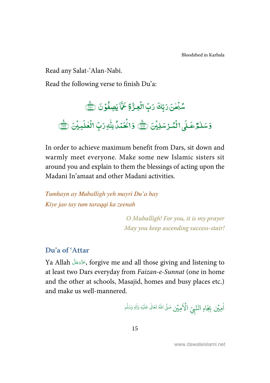<span id="page-20-0"></span>Read any Salat-'Alan-Nabi.

Read the following verse to finish Du'a:

.<br>سُبۡ<del>حٰنَ</del> رَبِّكَ رَبِّ الۡعِـُّرَةِ عَمَّا ٰ ! -N  $\frac{5}{2}$ ن<br>م حَمَّا يَصِفُوۡنَ ۞ ֧֦֘

وَسَلْمُرْعَلَى سَلْمُّكَلَى الْمُرْسَلِيْنَ (٢١٤ دَاكْمَدُ بِلْهِ رَبِّ الْعٰلَمِيْنَ ٰ N ֘ ٰ N , ֘ - $\overline{\cdot}$ رَبِّ الْعٰلَمِيْنَ (<u>Wit</u> ٰ N -

In order to achieve maximum benefit from Dars, sit down and warmly meet everyone. Make some new Islamic sisters sit around you and explain to them the blessings of acting upon the Madani In'amaat and other Madani activities.

Tumhayn ay Muballigh yeh mayri Du'a hay Kiye jao tay tum taraqqi ka zeenah

> O Muballigh! For you, it is my prayer May you keep ascending success-stair!

### **Du'a of 'Attar**

Ya Allah فَزَّدَجَلَ , forgive me and all those giving and listening to -at least two Dars everyday from Faizan-e-Sunnat (one in home and the other at schools, Masajid, homes and busy places etc.) and make us well-mannered.

لَاَمِيَّن هِيِّن بِجَاهِ النَّبِيِّ الْأَهِيَّن صَلَّى اللهُ تَعَالَىٰ عَلَيْهِ وَالِهٖ وَسَلَّم ا ٰ ۡ ٰ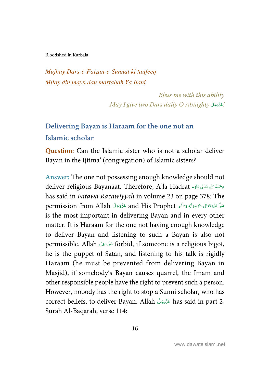<span id="page-21-0"></span>Mujhay Dars-e-Faizan-e-Sunnat ki taufeeq Milay din mayn dau martabah Ya Ilahi

> Bless me with this ability May I give two Dars daily O Almighty أَعَزَّدَجَلَّ May I give two Dars daily O --

## **Delivering Bayan is Haraam for the one not an Islamic scholar**

**Question:** Can the Islamic sister who is not a scholar deliver Bayan in the Ijtima' (congregation) of Islamic sisters?

**Answer:** The one not possessing enough knowledge should not deliver religious Bayanaat. Therefore, A'la Hadrat حَصَّةُ اللهِ تَعَالى عَلَيْه ŕ ĺ -has said in Fatawa Razawiyyah in volume 23 on page 378: The permission from Allah ظَّنَّخَلْ عَلَيْهِ وَالْهِ وَسَلَّم and His Prophet عَزَّوَجَلَّ and His Prophet -----Í --ć is the most important in delivering Bayan and in every other matter. It is Haraam for the one not having enough knowledge to deliver Bayan and listening to such a Bayan is also not permissible. Allah لَحَدَّدَهَا forbid, if someone is a religious bigot, -he is the puppet of Satan, and listening to his talk is rigidly Haraam (he must be prevented from delivering Bayan in Masjid), if somebody's Bayan causes quarrel, the Imam and other responsible people have the right to prevent such a person. However, nobody has the right to stop a Sunni scholar, who has correct beliefs, to deliver Bayan. Allah عَزَّوَجَلَّ has said in part 2, --Surah Al-Baqarah, verse 114: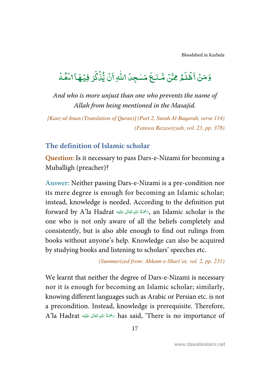<span id="page-22-0"></span>دَمَنۡ أَظۡلَمُ َطْلُ ֦֧֦ ر<br>آ اَظُلَمُ مِمَّنۡ مَّنَجَ .<br>مناسخ مَّـنَـعَ مَسْجِدَا اللَّهِ ٰ را<br>ا اللّٰهِ أَنۡ يُّذۡلَٰٓكَرَ  $\overline{a}$ بْنْكُ ֦֧֦֧֦֧֦֧֦֧֦֧֦֧֦֦֧֦֧֦֧֦֧֦֧֦֧֦֧֧֦֧֜֜֜֜ .<br>نُ ڍٌ ់ ِ<br>آ أَنَّ يُّذَٰكَرَ فِيُهَا اسْمُهُ  $\frac{2}{1}$ , ֘

And who is more unjust than one who prevents the name of Allah from being mentioned in the Masajid.

[Kanz-ul-Iman (Translation of Quran)] (Part 2, Surah Al-Baqarah, verse 114) (Fatawa Razawiyyah, vol. 23, pp. 378)

## **The definition of Islamic scholar**

**Question:** Is it necessary to pass Dars-e-Nizami for becoming a Muballigh (preacher)?

**Answer:** Neither passing Dars-e-Nizami is a pre-condition nor its mere degree is enough for becoming an Islamic scholar; instead, knowledge is needed. According to the definition put forward by A'la Hadrat سَمْتَةُ اللَّهِ تَعَالَى عَلَيْهِ, an Islamic scholar is the Í ---one who is not only aware of all the beliefs completely and consistently, but is also able enough to find out rulings from books without anyone's help. Knowledge can also be acquired by studying books and listening to scholars' speeches etc.

(Summarized from: Ahkam-e-Shari'at, vol. 2, pp. 231)

We learnt that neither the degree of Dars-e-Nizami is necessary nor it is enough for becoming an Islamic scholar; similarly, knowing different languages such as Arabic or Persian etc. is not a precondition. Instead, knowledge is prerequisite. Therefore, A'la Hadrat ٱللهِ تَعَالَى عَلَيْهِ Aas said, 'There is no importance of ĺ --ŕ -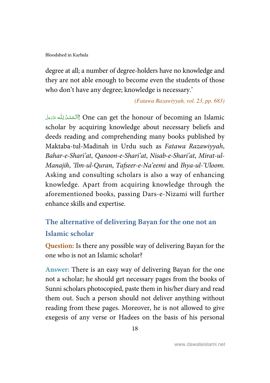<span id="page-23-0"></span>degree at all; a number of degree-holders have no knowledge and they are not able enough to become even the students of those who don't have any degree; knowledge is necessary.'

(Fatawa Razawiyyah, vol. 23, pp. 683)

اَلْكَمْدُ لِلَّه عَزَّدَمَاً One can get the honour of becoming an Islamic j ֚֬ ļ í i --scholar by acquiring knowledge about necessary beliefs and deeds reading and comprehending many books published by Maktaba-tul-Madinah in Urdu such as Fatawa Razawiyyah, Bahar-e-Shari'at, Qanoon-e-Shari'at, Nisab-e-Shari'at, Mirat-ul-Manajih, 'Ilm-ul-Quran, Tafseer-e-Na'eemi and Ihya-ul-'Uloom. Asking and consulting scholars is also a way of enhancing knowledge. Apart from acquiring knowledge through the aforementioned books, passing Dars-e-Nizami will further enhance skills and expertise.

## **The alternative of delivering Bayan for the one not an Islamic scholar**

**Question:** Is there any possible way of delivering Bayan for the one who is not an Islamic scholar?

**Answer:** There is an easy way of delivering Bayan for the one not a scholar; he should get necessary pages from the books of Sunni scholars photocopied, paste them in his/her diary and read them out. Such a person should not deliver anything without reading from these pages. Moreover, he is not allowed to give exegesis of any verse or Hadees on the basis of his personal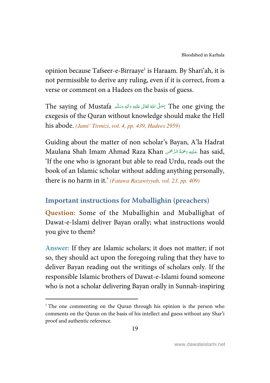<span id="page-24-0"></span>opinion because Tafseer-e-Birraaye<sup>1</sup> is Haraam. By Shari'ah, it is not permissible to derive any ruling, even if it is correct, from a verse or comment on a Hadees on the basis of guess.

The saying of Mustafa شَمَّلْ اللَّهُ تَعَالَى عَلَيْهِ وَاللهِ وَسَلَّم The saying of Mustafa : ---Í --ć exegesis of the Quran without knowledge should make the Hell his abode. (Jami' Tirmizi, vol. 4, pp. 439, Hadees 2959)

Guiding about the matter of non scholar's Bayan, A'la Hadrat Maulana Shah Imam Ahmad Raza Khan عَلَيْهِ رَحْمَةُ الرَّحْمَى has said, í ĺ --'If the one who is ignorant but able to read Urdu, reads out the book of an Islamic scholar without adding anything personally, there is no harm in it.' (Fatawa Razawiyyah, vol. 23, pp. 409)

## **Important instructions for Muballighin (preachers)**

**Question:** Some of the Muballighin and Muballighat of Dawat-e-Islami deliver Bayan orally; what instructions would you give to them?

**Answer:** If they are Islamic scholars; it does not matter; if not so, they should act upon the foregoing ruling that they have to deliver Bayan reading out the writings of scholars only. If the responsible Islamic brothers of Dawat-e-Islami found someone who is not a scholar delivering Bayan orally in Sunnah-inspiring

l

<sup>&</sup>lt;sup>1</sup> The one commenting on the Quran through his opinion is the person who comments on the Quran on the basis of his intellect and guess without any Shar'i proof and authentic reference.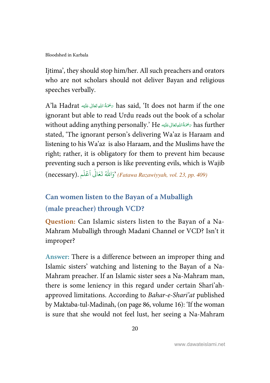<span id="page-25-0"></span>Ijtima', they should stop him/her. All such preachers and orators who are not scholars should not deliver Bayan and religious speeches verbally.

A'la Hadrat ﴿ مَحْمَةُ اللهِ تَعَالَى عَلَيْهِ Aas said, 'It does not harm if the one Í --ŕ ignorant but able to read Urdu reads out the book of a scholar without adding anything personally.' He سُحْمَةُاللهِتَعَالى عَلَيْه  $\tau$  has further Í --ŕ stated, 'The ignorant person's delivering Wa'az is Haraam and listening to his Wa'az is also Haraam, and the Muslims have the right; rather, it is obligatory for them to prevent him because preventing such a person is like preventing evils, which is Wajib -<br>(necessary). وَاللّٰهُ تَعَالَى اَعْلَـم) (Fatawa Razawiyyah, vol. 23, pp. 409) :<br>C ا

## **Can women listen to the Bayan of a Muballigh (male preacher) through VCD?**

**Question:** Can Islamic sisters listen to the Bayan of a Na-Mahram Muballigh through Madani Channel or VCD? Isn't it improper?

**Answer:** There is a difference between an improper thing and Islamic sisters' watching and listening to the Bayan of a Na-Mahram preacher. If an Islamic sister sees a Na-Mahram man, there is some leniency in this regard under certain Shari'ahapproved limitations. According to Bahar-e-Shari'at published by Maktaba-tul-Madinah, (on page 86, volume 16): 'If the woman is sure that she would not feel lust, her seeing a Na-Mahram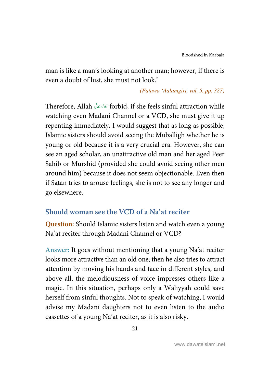<span id="page-26-0"></span>man is like a man's looking at another man; however, if there is even a doubt of lust, she must not look.'

(Fatawa 'Aalamgiri, vol. 5, pp. 327)

Therefore, Allah عَنَّوَجَلًا forbid, if she feels sinful attraction while -watching even Madani Channel or a VCD, she must give it up repenting immediately. I would suggest that as long as possible, Islamic sisters should avoid seeing the Muballigh whether he is young or old because it is a very crucial era. However, she can see an aged scholar, an unattractive old man and her aged Peer Sahib or Murshid (provided she could avoid seeing other men around him) because it does not seem objectionable. Even then if Satan tries to arouse feelings, she is not to see any longer and go elsewhere.

## **Should woman see the VCD of a Na'at reciter**

**Question:** Should Islamic sisters listen and watch even a young Na'at reciter through Madani Channel or VCD?

**Answer:** It goes without mentioning that a young Na'at reciter looks more attractive than an old one; then he also tries to attract attention by moving his hands and face in different styles, and above all, the melodiousness of voice impresses others like a magic. In this situation, perhaps only a Waliyyah could save herself from sinful thoughts. Not to speak of watching, I would advise my Madani daughters not to even listen to the audio cassettes of a young Na'at reciter, as it is also risky.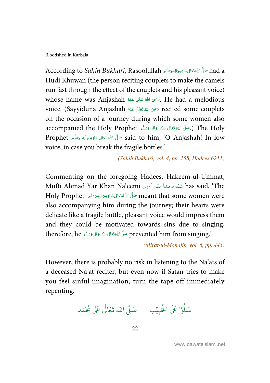According to *Sahih Bukhari*, Rasoolullah حَلَّى اللَّهَ تَعَالى عَلَيْهِ وَاللهِ وَسَلَّم اللَّهُ According to *Sahih Bukhari*, Rasoolullah ---Í --ć Hudi Khuwan (the person reciting couplets to make the camels run fast through the effect of the couplets and his pleasant voice) whose name was Anjashah شَحْوَى اللهُ تَعَالَى عَنْهُ  $\epsilon$ . He had a melodious -ć -voice. (Sayyiduna Anjashah رَضِىَ اللَّهَ تَعَالَى عَنْهُ secited some couplets -ć -on the occasion of a journey during which some women also accompanied the Holy Prophet شَكَّهِ وَالِهٖ وَسَلَّم accompanied the Holy Prophet ---Í --ć Prophet حَلَّى اللَّهُ تَعَالَى عَلَيْهِ وَاللهِ وَسَلَّمَ Prophet وَسَلَّمَ Prophet  $\sim$  said to him, 'O Anjashah! In low ---Í --ć voice, in case you break the fragile bottles.'

(Sahih Bukhari, vol. 4, pp. 158, Hadees 6211)

Commenting on the foregoing Hadees, Hakeem-ul-Ummat, Mufti Ahmad Yar Khan Na'eemi عَلَيْهِ رَحْمَةُ اللّٰهِ الْقَرِى Mufti Ahmad Yar Khan Na'eemi -j -Í --ظَّى اللَّهُ تَعَالَى عَلَيْهِ وَالِهِ وَسَلَّم Holy Prophet حَلَّى اللَّهُ تَتَعَالَى عَلَيْهِ وَالْيهِ وَسَلَّم ---Í --í also accompanying him during the journey; their hearts were delicate like a fragile bottle, pleasant voice would impress them and they could be motivated towards sins due to singing, therefore, he حَلَّى اللَّهَ تَعَالى عَلَيْهِ وَالْلِهِ وَسَلَّم therefore, he ---Í --ź

(Mirat-ul-Manajih, vol. 6, pp. 443)

However, there is probably no risk in listening to the Na'ats of a deceased Na'at reciter, but even now if Satan tries to make you feel sinful imagination, turn the tape off immediately repenting.

.<br>وْا عَلَى الْحَبِيْب ֘ ر<br>ا و<br>ا صَلُّوْا عَلَى الْحَبِيْبِ ۚ صَلَّى اللّٰهُ تَعَالَٰى عَلٰى مُحَمَّد ٰ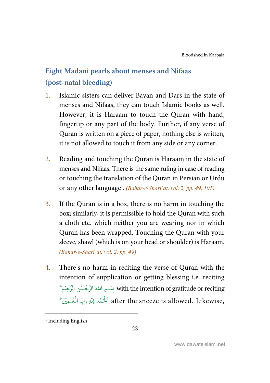## <span id="page-28-0"></span>**Eight Madani pearls about menses and Nifaas (post-natal bleeding)**

- 1. Islamic sisters can deliver Bayan and Dars in the state of menses and Nifaas, they can touch Islamic books as well. However, it is Haraam to touch the Quran with hand, fingertip or any part of the body. Further, if any verse of Quran is written on a piece of paper, nothing else is written, it is not allowed to touch it from any side or any corner.
- 2. Reading and touching the Quran is Haraam in the state of menses and Nifaas. There is the same ruling in case of reading or touching the translation of the Quran in Persian or Urdu or any other language<sup>1</sup>. (Bahar-e-Shari'at, vol. 2, pp. 49, 101)
- 3. If the Quran is in a box, there is no harm in touching the box; similarly, it is permissible to hold the Quran with such a cloth etc. which neither you are wearing nor in which Quran has been wrapped. Touching the Quran with your sleeve, shawl (which is on your head or shoulder) is Haraam. (Bahar-e-Shari'at, vol. 2, pp. 49)
- 4. There's no harm in reciting the verse of Quran with the intention of supplication or getting blessing i.e. reciting ِسۡـمِ اللّٰهِ الرَّحۡـِمُنِ الرَّحِيۡمِ ؕ with the intention of gratitude or reciting ֘֝ ٰ ֧֘ ب ُ after the sneeze is allowed. Likewise, ٱلْحَمْدُ لِلّٰهِ رَبِّ الْعٰلَمِيْنَ ۖ ֘ ِ<br>ا ٰ ֧֧֧֧֧֧֧֧֧֦֧֦֧֝<br>׀

l

<sup>&</sup>lt;sup>1</sup> Including English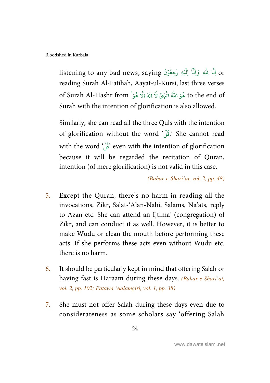listening to any bad news, saying اِنَّا لِلَّهِ وَاِنَّآ اِلَيْهِ رْجِعُوْنَ ؚ<br>ؙ ُ ֦֘֝ reading Surah Al-Fatihah, Aayat-ul-Kursi, last three verses مُوَ اللهُ الَّذِيْ لَا اِلٰهَ إِلَّا هُوَ ً of Surah Al-Hashr from ٰ í لَآ إِلٰهَ إِلَّا ٰ to the end of هُوَ اللَّهُ الَّذِيْ لَا إِلٰهَ إِلَّا هُوَ ۚ Surah with the intention of glorification is also allowed.

Similarly, she can read all the three Quls with the intention of glorification without the word '.فُلْ' She cannot read الا<br>وفيات with the word  $\sqrt[4]{\dot{\tilde{\delta}}}$  even with the intention of glorification الا<br>وفيات because it will be regarded the recitation of Quran, intention (of mere glorification) is not valid in this case.

(Bahar-e-Shari'at, vol. 2, pp. 48)

- 5. Except the Quran, there's no harm in reading all the invocations, Zikr, Salat-'Alan-Nabi, Salams, Na'ats, reply to Azan etc. She can attend an Ijtima' (congregation) of Zikr, and can conduct it as well. However, it is better to make Wudu or clean the mouth before performing these acts. If she performs these acts even without Wudu etc. there is no harm.
- 6. It should be particularly kept in mind that offering Salah or having fast is Haraam during these days. (Bahar-e-Shari'at, vol. 2, pp. 102; Fatawa 'Aalamgiri, vol. 1, pp. 38)
- 7. She must not offer Salah during these days even due to considerateness as some scholars say 'offering Salah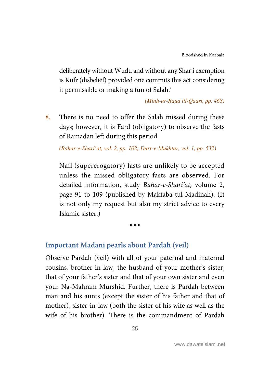<span id="page-30-0"></span>deliberately without Wudu and without any Shar'i exemption is Kufr (disbelief) provided one commits this act considering it permissible or making a fun of Salah.'

(Minh-ur-Raud lil-Qaari, pp. 468)

8. There is no need to offer the Salah missed during these days; however, it is Fard (obligatory) to observe the fasts of Ramadan left during this period.

(Bahar-e-Shari'at, vol. 2, pp. 102; Durr-e-Mukhtar, vol. 1, pp. 532)

Nafl (supererogatory) fasts are unlikely to be accepted unless the missed obligatory fasts are observed. For detailed information, study Bahar-e-Shari'at, volume 2, page 91 to 109 (published by Maktaba-tul-Madinah). (It is not only my request but also my strict advice to every Islamic sister.)

 $\bullet\bullet\bullet$ 

## **Important Madani pearls about Pardah (veil)**

Observe Pardah (veil) with all of your paternal and maternal cousins, brother-in-law, the husband of your mother's sister, that of your father's sister and that of your own sister and even your Na-Mahram Murshid. Further, there is Pardah between man and his aunts (except the sister of his father and that of mother), sister-in-law (both the sister of his wife as well as the wife of his brother). There is the commandment of Pardah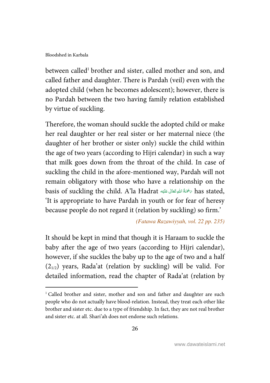$\overline{a}$ 

between called<sup>1</sup> brother and sister, called mother and son, and called father and daughter. There is Pardah (veil) even with the adopted child (when he becomes adolescent); however, there is no Pardah between the two having family relation established by virtue of suckling.

Therefore, the woman should suckle the adopted child or make her real daughter or her real sister or her maternal niece (the daughter of her brother or sister only) suckle the child within the age of two years (according to Hijri calendar) in such a way that milk goes down from the throat of the child. In case of suckling the child in the afore-mentioned way, Pardah will not remain obligatory with those who have a relationship on the basis of suckling the child. A'la Hadrat مَصْمُ اللَّهِ تَعَالَى عَلَيْهِ Í ----'It is appropriate to have Pardah in youth or for fear of heresy because people do not regard it (relation by suckling) so firm.'

(Fatawa Razawiyyah, vol. 22 pp. 235)

It should be kept in mind that though it is Haraam to suckle the baby after the age of two years (according to Hijri calendar), however, if she suckles the baby up to the age of two and a half  $(2_{1/2})$  years, Rada'at (relation by suckling) will be valid. For detailed information, read the chapter of Rada'at (relation by

<sup>&</sup>lt;sup>1</sup> Called brother and sister, mother and son and father and daughter are such people who do not actually have blood-relation. Instead, they treat each other like brother and sister etc. due to a type of friendship. In fact, they are not real brother and sister etc. at all. Shari'ah does not endorse such relations.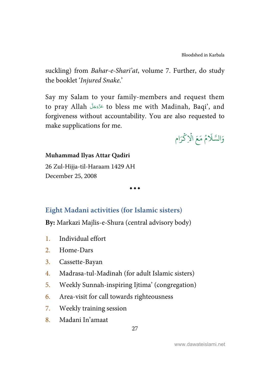[Bloodshed in Karbala](#page-4-0)

<span id="page-32-0"></span>suckling) from *Bahar-e-Shari'at*, volume 7. Further, do study the booklet 'Injured Snake.'

Say my Salam to your family-members and request them to pray Allah كَرَّدَ to bless me with Madinah, Baqi', and -forgiveness without accountability. You are also requested to make supplications for me.

مُ مَعَ الْإِكْرَام ؚ<br>ۡ ہ<br>آ ُ ر<br>آ % َالس و

#### **Muhammad Ilyas Attar Qadiri**

26 Zul-Hijja-til-Haraam 1429 AH December 25, 2008

 $\bullet\bullet\bullet$ 

## **Eight Madani activities (for Islamic sisters)**

**By:** Markazi Majlis-e-Shura (central advisory body)

- 1. Individual effort
- 2. Home-Dars
- 3. Cassette-Bayan
- 4. Madrasa-tul-Madinah (for adult Islamic sisters)
- 5. Weekly Sunnah-inspiring Ijtima' (congregation)
- 6. Area-visit for call towards righteousness
- 7. Weekly training session
- 8. Madani In'amaat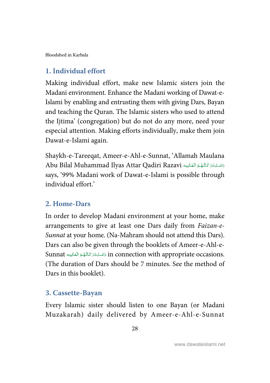<span id="page-33-0"></span>[Bloodshed in Karbala](#page-4-0) 

## **1. Individual effort**

Making individual effort, make new Islamic sisters join the Madani environment. Enhance the Madani working of Dawat-e-Islami by enabling and entrusting them with giving Dars, Bayan and teaching the Quran. The Islamic sisters who used to attend the Ijtima' (congregation) but do not do any more, need your especial attention. Making efforts individually, make them join Dawat-e-Islami again.

Shaykh-e-Tareeqat, Ameer-e-Ahl-e-Sunnat, 'Allamah Maulana Abu Bilal Muhammad Ilyas Attar Qadiri Razavi دَامَتْبَرَ كَاتُّهْدُ الْعَالِيَه --í j í í í says, '99% Madani work of Dawat-e-Islami is possible through individual effort.'

## **2. Home-Dars**

In order to develop Madani environment at your home, make arrangements to give at least one Dars daily from Faizan-e-Sunnat at your home. (Na-Mahram should not attend this Dars). Dars can also be given through the booklets of Ameer-e-Ahl-e-Sunnat دَامَتْ يَتَرَ كَاتُهُمُ الْعَالِيَه  $\ln$  connection with appropriate occasions. j í í Í ---(The duration of Dars should be 7 minutes. See the method of Dars in this booklet).

#### **3. Cassette-Bayan**

Every Islamic sister should listen to one Bayan (or Madani Muzakarah) daily delivered by Ameer-e-Ahl-e-Sunnat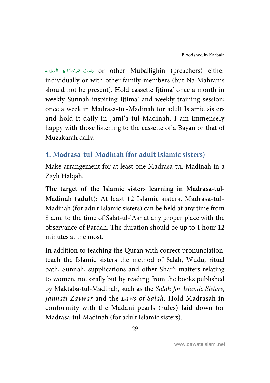<span id="page-34-0"></span>í or other Muballighin (preachers) either كامَتْ بَرَكَاتُهُمُ الْعَالِيَه j í í í --individually or with other family-members (but Na-Mahrams should not be present). Hold cassette Ijtima' once a month in weekly Sunnah-inspiring Ijtima' and weekly training session; once a week in Madrasa-tul-Madinah for adult Islamic sisters and hold it daily in Jami'a-tul-Madinah. I am immensely happy with those listening to the cassette of a Bayan or that of Muzakarah daily.

## **4. Madrasa-tul-Madinah (for adult Islamic sisters)**

Make arrangement for at least one Madrasa-tul-Madinah in a Zayli Halqah.

**The target of the Islamic sisters learning in Madrasa-tul-Madinah (adult):** At least 12 Islamic sisters, Madrasa-tul-Madinah (for adult Islamic sisters) can be held at any time from 8 a.m. to the time of Salat-ul-'Asr at any proper place with the observance of Pardah. The duration should be up to 1 hour 12 minutes at the most.

In addition to teaching the Quran with correct pronunciation, teach the Islamic sisters the method of Salah, Wudu, ritual bath, Sunnah, supplications and other Shar'i matters relating to women, not orally but by reading from the books published by Maktaba-tul-Madinah, such as the Salah for Islamic Sisters, Jannati Zaywar and the Laws of Salah. Hold Madrasah in conformity with the Madani pearls (rules) laid down for Madrasa-tul-Madinah (for adult Islamic sisters).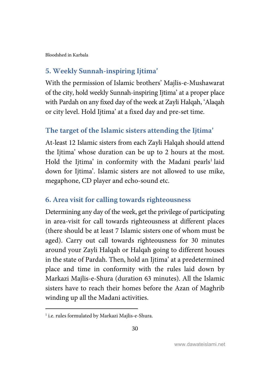## <span id="page-35-0"></span>**5. Weekly Sunnah-inspiring Ijtima'**

With the permission of Islamic brothers' Majlis-e-Mushawarat of the city, hold weekly Sunnah-inspiring Ijtima' at a proper place with Pardah on any fixed day of the week at Zayli Halqah, 'Alaqah or city level. Hold Ijtima' at a fixed day and pre-set time.

## **The target of the Islamic sisters attending the Ijtima'**

At-least 12 Islamic sisters from each Zayli Halqah should attend the Ijtima' whose duration can be up to 2 hours at the most. Hold the Ijtima' in conformity with the Madani pearls<sup>1</sup> laid down for Ijtima'. Islamic sisters are not allowed to use mike, megaphone, CD player and echo-sound etc.

## **6. Area visit for calling towards righteousness**

Determining any day of the week, get the privilege of participating in area-visit for call towards righteousness at different places (there should be at least 7 Islamic sisters one of whom must be aged). Carry out call towards righteousness for 30 minutes around your Zayli Halqah or Halqah going to different houses in the state of Pardah. Then, hold an Ijtima' at a predetermined place and time in conformity with the rules laid down by Markazi Majlis-e-Shura (duration 63 minutes). All the Islamic sisters have to reach their homes before the Azan of Maghrib winding up all the Madani activities.

l

<sup>&</sup>lt;sup>1</sup> i.e. rules formulated by Markazi Majlis-e-Shura.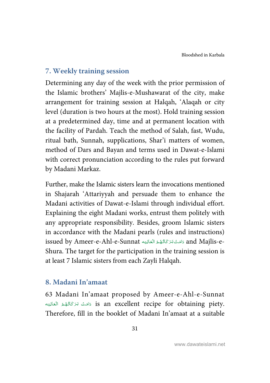## <span id="page-36-0"></span>**7. Weekly training session**

Determining any day of the week with the prior permission of the Islamic brothers' Majlis-e-Mushawarat of the city, make arrangement for training session at Halqah, 'Alaqah or city level (duration is two hours at the most). Hold training session at a predetermined day, time and at permanent location with the facility of Pardah. Teach the method of Salah, fast, Wudu, ritual bath, Sunnah, supplications, Shar'i matters of women, method of Dars and Bayan and terms used in Dawat-e-Islami with correct pronunciation according to the rules put forward by Madani Markaz.

Further, make the Islamic sisters learn the invocations mentioned in Shajarah 'Attariyyah and persuade them to enhance the Madani activities of Dawat-e-Islami through individual effort. Explaining the eight Madani works, entrust them politely with any appropriate responsibility. Besides, groom Islamic sisters in accordance with the Madani pearls (rules and instructions) issued by Ameer-e-Ahl-e-Sunnat دَامَتْ بَرَ كَاتُهْمُ الْعَالِيَه and Majlis-e--J í í j ---Shura. The target for the participation in the training session is at least 7 Islamic sisters from each Zayli Halqah.

#### **8. Madani In'amaat**

63 Madani In'amaat proposed by Ameer-e-Ahl-e-Sunnat : is an excellent recipe for obtaining piety. j í í í ---Therefore, fill in the booklet of Madani In'amaat at a suitable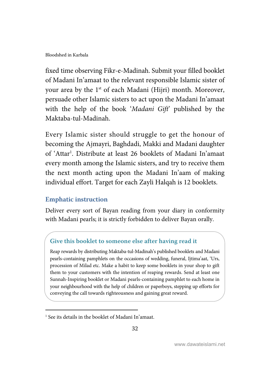fixed time observing Fikr-e-Madinah. Submit your filled booklet of Madani In'amaat to the relevant responsible Islamic sister of your area by the 1<sup>st</sup> of each Madani (Hijri) month. Moreover, persuade other Islamic sisters to act upon the Madani In'amaat with the help of the book 'Madani Gift' published by the Maktaba-tul-Madinah.

Every Islamic sister should struggle to get the honour of becoming the Ajmayri, Baghdadi, Makki and Madani daughter of 'Attar<sup>1</sup>. Distribute at least 26 booklets of Madani In'amaat every month among the Islamic sisters, and try to receive them the next month acting upon the Madani In'aam of making individual effort. Target for each Zayli Halqah is 12 booklets.

#### **Emphatic instruction**

l

Deliver every sort of Bayan reading from your diary in conformity with Madani pearls; it is strictly forbidden to deliver Bayan orally.

## **Give this booklet to someone else after having read it**

Reap rewards by distributing Maktaba-tul-Madinah's published booklets and Madani pearls-containing pamphlets on the occasions of wedding, funeral, Ijtima'aat, 'Urs, procession of Milad etc. Make a habit to keep some booklets in your shop to gift them to your customers with the intention of reaping rewards. Send at least one Sunnah-Inspiring booklet or Madani pearls-containing pamphlet to each home in your neighbourhood with the help of children or paperboys, stepping up efforts for conveying the call towards righteousness and gaining great reward.

<sup>1</sup> See its details in the booklet of Madani In'amaat.